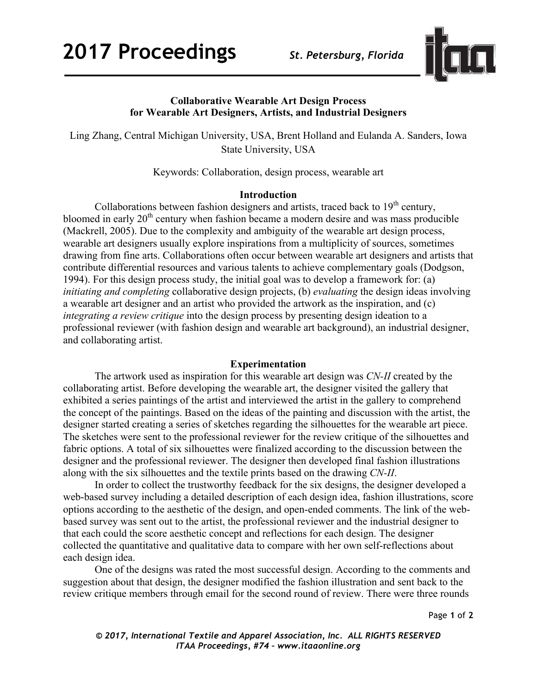

# **Collaborative Wearable Art Design Process for Wearable Art Designers, Artists, and Industrial Designers**

Ling Zhang, Central Michigan University, USA, Brent Holland and Eulanda A. Sanders, Iowa State University, USA

Keywords: Collaboration, design process, wearable art

## **Introduction**

Collaborations between fashion designers and artists, traced back to  $19<sup>th</sup>$  century, bloomed in early 20<sup>th</sup> century when fashion became a modern desire and was mass producible (Mackrell, 2005). Due to the complexity and ambiguity of the wearable art design process, wearable art designers usually explore inspirations from a multiplicity of sources, sometimes drawing from fine arts. Collaborations often occur between wearable art designers and artists that contribute differential resources and various talents to achieve complementary goals (Dodgson, 1994). For this design process study, the initial goal was to develop a framework for: (a) *initiating and completing* collaborative design projects, (b) *evaluating* the design ideas involving a wearable art designer and an artist who provided the artwork as the inspiration, and (c) *integrating a review critique* into the design process by presenting design ideation to a professional reviewer (with fashion design and wearable art background), an industrial designer, and collaborating artist.

## **Experimentation**

The artwork used as inspiration for this wearable art design was *CN-II* created by the collaborating artist. Before developing the wearable art, the designer visited the gallery that exhibited a series paintings of the artist and interviewed the artist in the gallery to comprehend the concept of the paintings. Based on the ideas of the painting and discussion with the artist, the designer started creating a series of sketches regarding the silhouettes for the wearable art piece. The sketches were sent to the professional reviewer for the review critique of the silhouettes and fabric options. A total of six silhouettes were finalized according to the discussion between the designer and the professional reviewer. The designer then developed final fashion illustrations along with the six silhouettes and the textile prints based on the drawing *CN-II*.

In order to collect the trustworthy feedback for the six designs, the designer developed a web-based survey including a detailed description of each design idea, fashion illustrations, score options according to the aesthetic of the design, and open-ended comments. The link of the webbased survey was sent out to the artist, the professional reviewer and the industrial designer to that each could the score aesthetic concept and reflections for each design. The designer collected the quantitative and qualitative data to compare with her own self-reflections about each design idea.

One of the designs was rated the most successful design. According to the comments and suggestion about that design, the designer modified the fashion illustration and sent back to the review critique members through email for the second round of review. There were three rounds